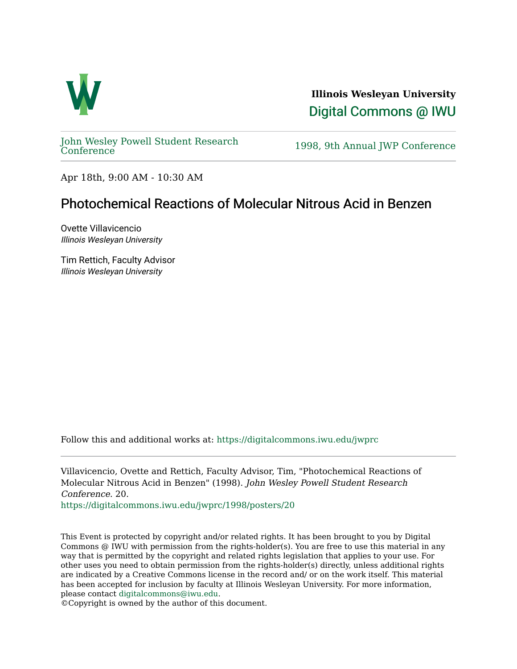

**Illinois Wesleyan University**  [Digital Commons @ IWU](https://digitalcommons.iwu.edu/) 

[John Wesley Powell Student Research](https://digitalcommons.iwu.edu/jwprc) 

1998, 9th Annual JWP [Conference](https://digitalcommons.iwu.edu/jwprc)

Apr 18th, 9:00 AM - 10:30 AM

## Photochemical Reactions of Molecular Nitrous Acid in Benzen

Ovette Villavicencio Illinois Wesleyan University

Tim Rettich, Faculty Advisor Illinois Wesleyan University

Follow this and additional works at: [https://digitalcommons.iwu.edu/jwprc](https://digitalcommons.iwu.edu/jwprc?utm_source=digitalcommons.iwu.edu%2Fjwprc%2F1998%2Fposters%2F20&utm_medium=PDF&utm_campaign=PDFCoverPages) 

Villavicencio, Ovette and Rettich, Faculty Advisor, Tim, "Photochemical Reactions of Molecular Nitrous Acid in Benzen" (1998). John Wesley Powell Student Research Conference. 20.

[https://digitalcommons.iwu.edu/jwprc/1998/posters/20](https://digitalcommons.iwu.edu/jwprc/1998/posters/20?utm_source=digitalcommons.iwu.edu%2Fjwprc%2F1998%2Fposters%2F20&utm_medium=PDF&utm_campaign=PDFCoverPages)

This Event is protected by copyright and/or related rights. It has been brought to you by Digital Commons @ IWU with permission from the rights-holder(s). You are free to use this material in any way that is permitted by the copyright and related rights legislation that applies to your use. For other uses you need to obtain permission from the rights-holder(s) directly, unless additional rights are indicated by a Creative Commons license in the record and/ or on the work itself. This material has been accepted for inclusion by faculty at Illinois Wesleyan University. For more information, please contact [digitalcommons@iwu.edu.](mailto:digitalcommons@iwu.edu)

©Copyright is owned by the author of this document.